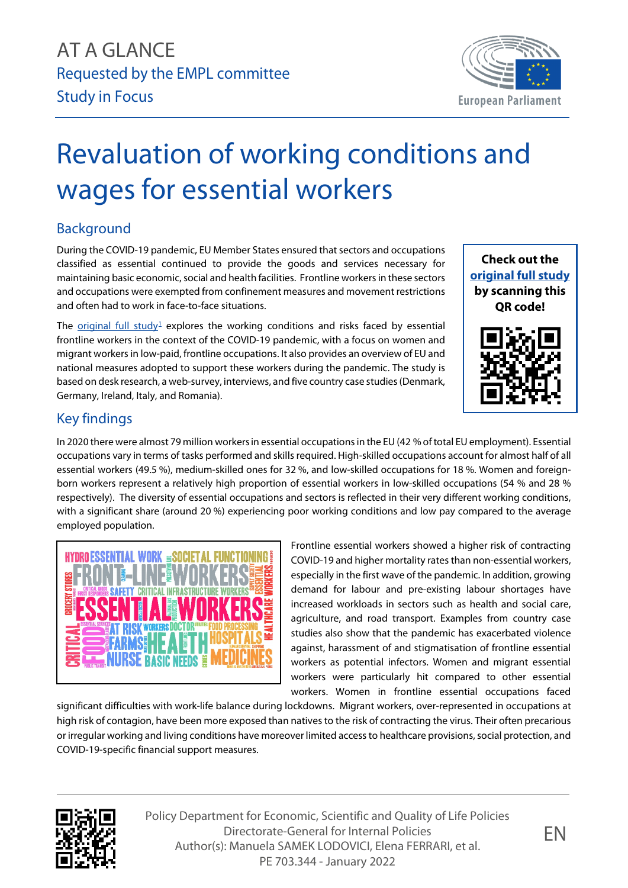

## Revaluation of working conditions and wages for essential workers

## Background

During the COVID-19 pandemic, EU Member States ensured that sectors and occupations classified as essential continued to provide the goods and services necessary for maintaining basic economic, social and health facilities. Frontline workers in these sectors and occupations were exempted from confinement measures and movement restrictions and often had to work in face-to-face situations.

The [original full study](https://www.europarl.europa.eu/RegData/etudes/STUD/2021/695491/IPOL_STU(2021)695491_EN.pdf)<sup>[1](#page-1-0)</sup> explores the working conditions and risks faced by essential frontline workers in the context of the COVID-19 pandemic, with a focus on women and migrant workers in low-paid, frontline occupations. It also provides an overview of EU and national measures adopted to support these workers during the pandemic. The study is based on desk research, a web-survey, interviews, and five country case studies (Denmark, Germany, Ireland, Italy, and Romania).





## Key findings

In 2020 there were almost 79 million workersin essential occupations in the EU (42 % of total EU employment). Essential occupations vary in terms of tasks performed and skills required. High-skilled occupations account for almost half of all essential workers (49.5 %), medium-skilled ones for 32 %, and low-skilled occupations for 18 %. Women and foreignborn workers represent a relatively high proportion of essential workers in low-skilled occupations (54 % and 28 % respectively). The diversity of essential occupations and sectors is reflected in their very different working conditions, with a significant share (around 20 %) experiencing poor working conditions and low pay compared to the average employed population.



Frontline essential workers showed a higher risk of contracting COVID-19 and higher mortality rates than non-essential workers, especially in the first wave of the pandemic. In addition, growing demand for labour and pre-existing labour shortages have increased workloads in sectors such as health and social care, agriculture, and road transport. Examples from country case studies also show that the pandemic has exacerbated violence against, harassment of and stigmatisation of frontline essential workers as potential infectors. Women and migrant essential workers were particularly hit compared to other essential workers. Women in frontline essential occupations faced

significant difficulties with work-life balance during lockdowns. Migrant workers, over-represented in occupations at high risk of contagion, have been more exposed than natives to the risk of contracting the virus. Their often precarious or irregular working and living conditions have moreover limited access to healthcare provisions, social protection, and COVID-19-specific financial support measures.



Policy Department for Economic, Scientific and Quality of Life Policies Directorate-General for Internal Policies Author(s): Manuela SAMEK LODOVICI, Elena FERRARI, et al. PE 703.344 - January 2022